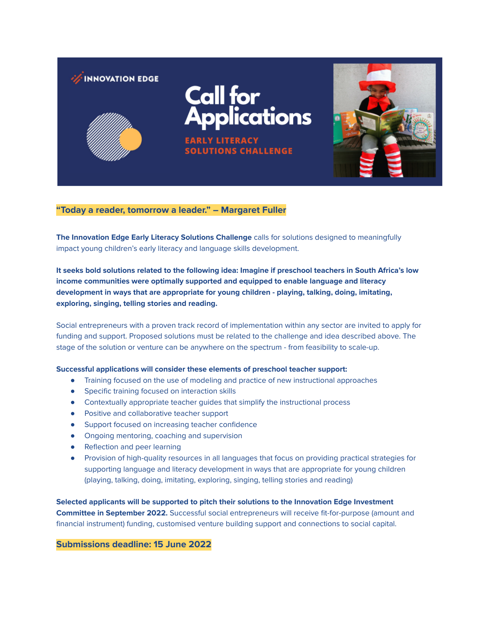

## **"Today a reader, tomorrow a leader." – Margaret Fuller**

**The Innovation Edge Early Literacy Solutions Challenge** calls for solutions designed to meaningfully impact young children's early literacy and language skills development.

It seeks bold solutions related to the following idea: Imagine if preschool teachers in South Africa's low **income communities were optimally supported and equipped to enable language and literacy development in ways that are appropriate for young children - playing, talking, doing, imitating, exploring, singing, telling stories and reading.**

Social entrepreneurs with a proven track record of implementation within any sector are invited to apply for funding and support. Proposed solutions must be related to the challenge and idea described above. The stage of the solution or venture can be anywhere on the spectrum - from feasibility to scale-up.

#### **Successful applications will consider these elements of preschool teacher support:**

- Training focused on the use of modeling and practice of new instructional approaches
- Specific training focused on interaction skills
- Contextually appropriate teacher guides that simplify the instructional process
- Positive and collaborative teacher support
- Support focused on increasing teacher confidence
- Ongoing mentoring, coaching and supervision
- Reflection and peer learning
- Provision of high-quality resources in all languages that focus on providing practical strategies for supporting language and literacy development in ways that are appropriate for young children (playing, talking, doing, imitating, exploring, singing, telling stories and reading)

**Selected applicants will be supported to pitch their solutions to the Innovation Edge Investment Committee in September 2022.** Successful social entrepreneurs will receive fit-for-purpose (amount and financial instrument) funding, customised venture building support and connections to social capital.

### **Submissions deadline: 15 June 2022**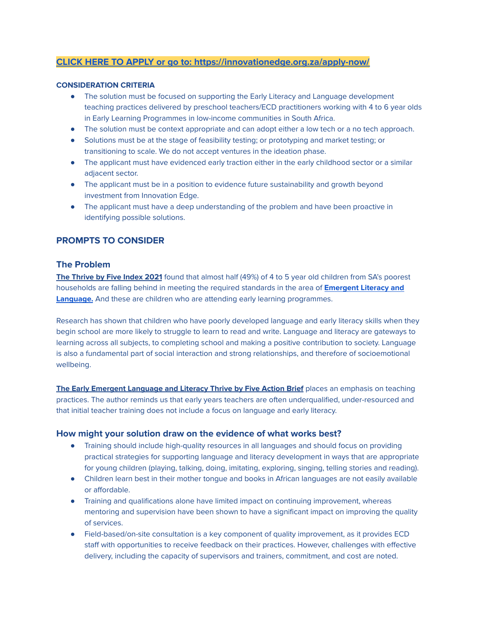# **CLICK HERE TO APPLY or go to: <https://innovationedge.org.za/apply-now/>**

#### **CONSIDERATION CRITERIA**

- The solution must be focused on supporting the Early Literacy and Language development teaching practices delivered by preschool teachers/ECD practitioners working with 4 to 6 year olds in Early Learning Programmes in low-income communities in South Africa.
- The solution must be context appropriate and can adopt either a low tech or a no tech approach.
- Solutions must be at the stage of feasibility testing; or prototyping and market testing; or transitioning to scale. We do not accept ventures in the ideation phase.
- The applicant must have evidenced early traction either in the early childhood sector or a similar adjacent sector.
- The applicant must be in a position to evidence future sustainability and growth beyond investment from Innovation Edge.
- The applicant must have a deep understanding of the problem and have been proactive in identifying possible solutions.

# **PROMPTS TO CONSIDER**

## **The Problem**

**The [Thrive](https://www.thrivebyfive.co.za/) by Five Index 2021** found that almost half (49%) of 4 to 5 year old children from SA's poorest households are falling behind in meeting the required standards in the area of **[Emergent](https://www.thrivebyfive.co.za/wp-content/uploads/2022/04/ActionBriefEmergentLanguageAndLiteracy.pdf) Literacy and [Language.](https://www.thrivebyfive.co.za/wp-content/uploads/2022/04/ActionBriefEmergentLanguageAndLiteracy.pdf)** And these are children who are attending early learning programmes.

Research has shown that children who have poorly developed language and early literacy skills when they begin school are more likely to struggle to learn to read and write. Language and literacy are gateways to learning across all subjects, to completing school and making a positive contribution to society. Language is also a fundamental part of social interaction and strong relationships, and therefore of socioemotional wellbeing.

**The Early Emergent [Language](https://www.thrivebyfive.co.za/wp-content/uploads/2022/04/ActionBriefEmergentLanguageAndLiteracy.pdf) and Literacy Thrive by Five Action Brief** places an emphasis on teaching practices. The author reminds us that early years teachers are often underqualified, under-resourced and that initial teacher training does not include a focus on language and early literacy.

### **How might your solution draw on the evidence of what works best?**

- Training should include high-quality resources in all languages and should focus on providing practical strategies for supporting language and literacy development in ways that are appropriate for young children (playing, talking, doing, imitating, exploring, singing, telling stories and reading).
- Children learn best in their mother tongue and books in African languages are not easily available or affordable.
- Training and qualifications alone have limited impact on continuing improvement, whereas mentoring and supervision have been shown to have a significant impact on improving the quality of services.
- Field-based/on-site consultation is a key component of quality improvement, as it provides ECD staff with opportunities to receive feedback on their practices. However, challenges with effective delivery, including the capacity of supervisors and trainers, commitment, and cost are noted.